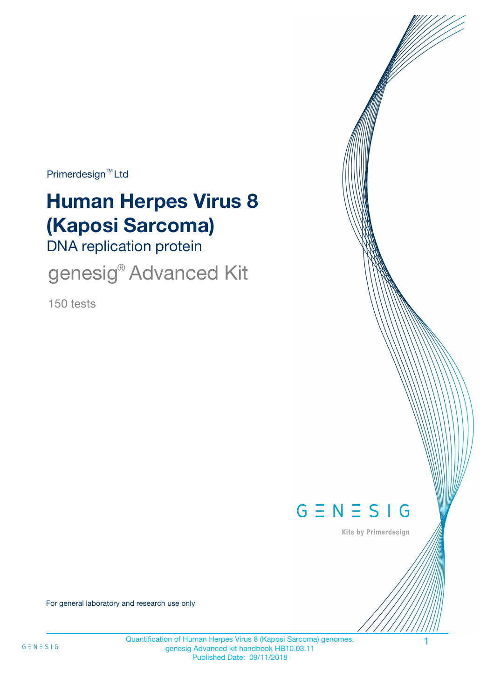$Primerdesign^{\text{TM}}$ Ltd

# **Human Herpes Virus 8 (Kaposi Sarcoma)**

DNA replication protein

genesig<sup>®</sup> Advanced Kit

150 tests



Kits by Primerdesign

For general laboratory and research use only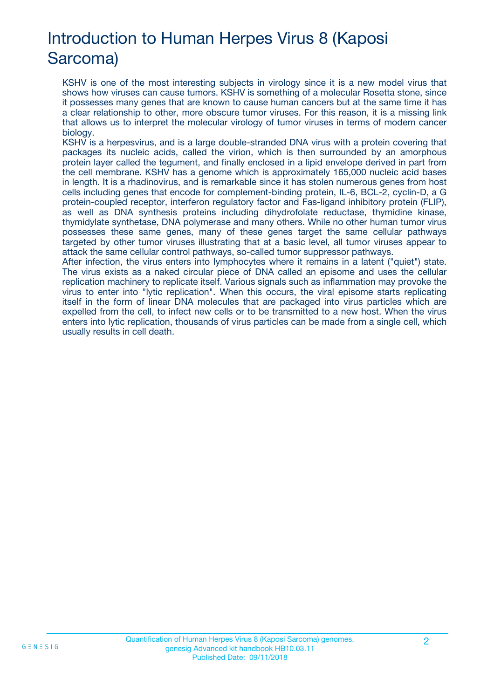# Introduction to Human Herpes Virus 8 (Kaposi Sarcoma)

KSHV is one of the most interesting subjects in virology since it is a new model virus that shows how viruses can cause tumors. KSHV is something of a molecular Rosetta stone, since it possesses many genes that are known to cause human cancers but at the same time it has a clear relationship to other, more obscure tumor viruses. For this reason, it is a missing link that allows us to interpret the molecular virology of tumor viruses in terms of modern cancer biology.

KSHV is a herpesvirus, and is a large double-stranded DNA virus with a protein covering that packages its nucleic acids, called the virion, which is then surrounded by an amorphous protein layer called the tegument, and finally enclosed in a lipid envelope derived in part from the cell membrane. KSHV has a genome which is approximately 165,000 nucleic acid bases in length. It is a rhadinovirus, and is remarkable since it has stolen numerous genes from host cells including genes that encode for complement-binding protein, IL-6, BCL-2, cyclin-D, a G protein-coupled receptor, interferon regulatory factor and Fas-ligand inhibitory protein (FLIP), as well as DNA synthesis proteins including dihydrofolate reductase, thymidine kinase, thymidylate synthetase, DNA polymerase and many others. While no other human tumor virus possesses these same genes, many of these genes target the same cellular pathways targeted by other tumor viruses illustrating that at a basic level, all tumor viruses appear to attack the same cellular control pathways, so-called tumor suppressor pathways.

After infection, the virus enters into lymphocytes where it remains in a latent ("quiet") state. The virus exists as a naked circular piece of DNA called an episome and uses the cellular replication machinery to replicate itself. Various signals such as inflammation may provoke the virus to enter into "lytic replication". When this occurs, the viral episome starts replicating itself in the form of linear DNA molecules that are packaged into virus particles which are expelled from the cell, to infect new cells or to be transmitted to a new host. When the virus enters into lytic replication, thousands of virus particles can be made from a single cell, which usually results in cell death.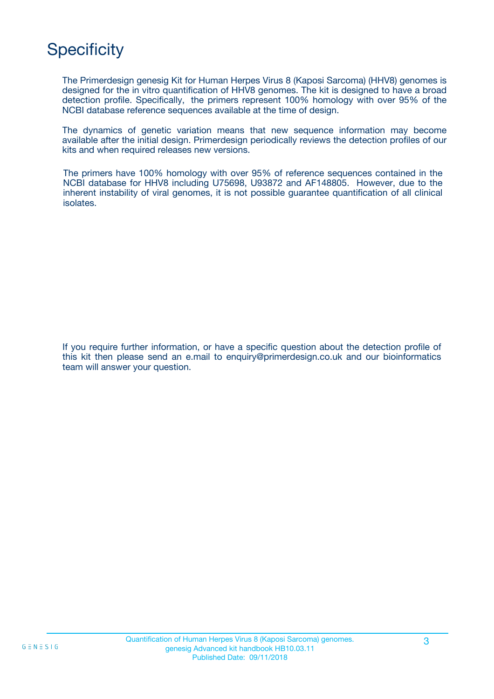# **Specificity**

The Primerdesign genesig Kit for Human Herpes Virus 8 (Kaposi Sarcoma) (HHV8) genomes is designed for the in vitro quantification of HHV8 genomes. The kit is designed to have a broad detection profile. Specifically, the primers represent 100% homology with over 95% of the NCBI database reference sequences available at the time of design.

The dynamics of genetic variation means that new sequence information may become available after the initial design. Primerdesign periodically reviews the detection profiles of our kits and when required releases new versions.

The primers have 100% homology with over 95% of reference sequences contained in the NCBI database for HHV8 including U75698, U93872 and AF148805. However, due to the inherent instability of viral genomes, it is not possible guarantee quantification of all clinical isolates.

If you require further information, or have a specific question about the detection profile of this kit then please send an e.mail to enquiry@primerdesign.co.uk and our bioinformatics team will answer your question.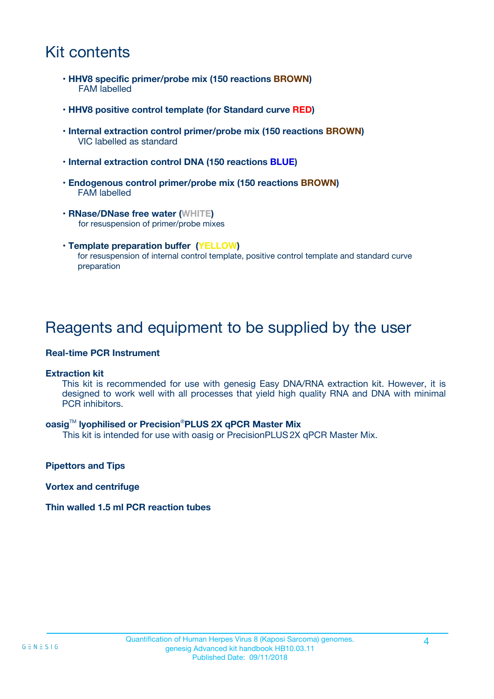### Kit contents

- **HHV8 specific primer/probe mix (150 reactions BROWN)** FAM labelled
- **HHV8 positive control template (for Standard curve RED)**
- **Internal extraction control primer/probe mix (150 reactions BROWN)** VIC labelled as standard
- **Internal extraction control DNA (150 reactions BLUE)**
- **Endogenous control primer/probe mix (150 reactions BROWN)** FAM labelled
- **RNase/DNase free water (WHITE)** for resuspension of primer/probe mixes
- **Template preparation buffer (YELLOW)** for resuspension of internal control template, positive control template and standard curve preparation

### Reagents and equipment to be supplied by the user

#### **Real-time PCR Instrument**

#### **Extraction kit**

This kit is recommended for use with genesig Easy DNA/RNA extraction kit. However, it is designed to work well with all processes that yield high quality RNA and DNA with minimal PCR inhibitors.

#### **oasig**TM **lyophilised or Precision**®**PLUS 2X qPCR Master Mix**

This kit is intended for use with oasig or PrecisionPLUS2X qPCR Master Mix.

**Pipettors and Tips**

**Vortex and centrifuge**

#### **Thin walled 1.5 ml PCR reaction tubes**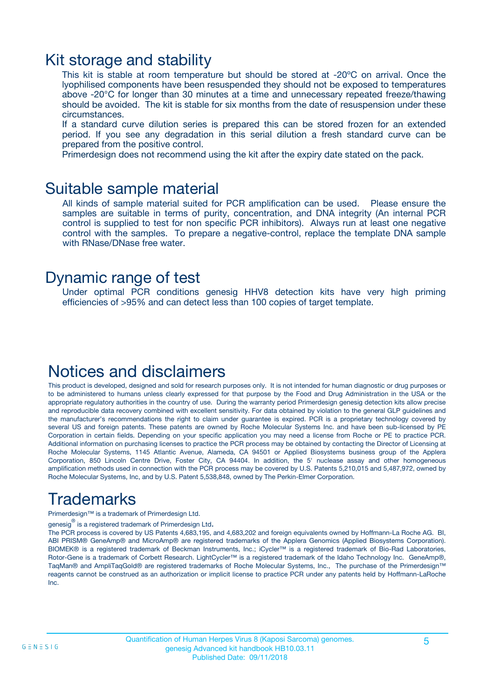### Kit storage and stability

This kit is stable at room temperature but should be stored at -20ºC on arrival. Once the lyophilised components have been resuspended they should not be exposed to temperatures above -20°C for longer than 30 minutes at a time and unnecessary repeated freeze/thawing should be avoided. The kit is stable for six months from the date of resuspension under these circumstances.

If a standard curve dilution series is prepared this can be stored frozen for an extended period. If you see any degradation in this serial dilution a fresh standard curve can be prepared from the positive control.

Primerdesign does not recommend using the kit after the expiry date stated on the pack.

### Suitable sample material

All kinds of sample material suited for PCR amplification can be used. Please ensure the samples are suitable in terms of purity, concentration, and DNA integrity (An internal PCR control is supplied to test for non specific PCR inhibitors). Always run at least one negative control with the samples. To prepare a negative-control, replace the template DNA sample with RNase/DNase free water.

### Dynamic range of test

Under optimal PCR conditions genesig HHV8 detection kits have very high priming efficiencies of >95% and can detect less than 100 copies of target template.

### Notices and disclaimers

This product is developed, designed and sold for research purposes only. It is not intended for human diagnostic or drug purposes or to be administered to humans unless clearly expressed for that purpose by the Food and Drug Administration in the USA or the appropriate regulatory authorities in the country of use. During the warranty period Primerdesign genesig detection kits allow precise and reproducible data recovery combined with excellent sensitivity. For data obtained by violation to the general GLP guidelines and the manufacturer's recommendations the right to claim under guarantee is expired. PCR is a proprietary technology covered by several US and foreign patents. These patents are owned by Roche Molecular Systems Inc. and have been sub-licensed by PE Corporation in certain fields. Depending on your specific application you may need a license from Roche or PE to practice PCR. Additional information on purchasing licenses to practice the PCR process may be obtained by contacting the Director of Licensing at Roche Molecular Systems, 1145 Atlantic Avenue, Alameda, CA 94501 or Applied Biosystems business group of the Applera Corporation, 850 Lincoln Centre Drive, Foster City, CA 94404. In addition, the 5' nuclease assay and other homogeneous amplification methods used in connection with the PCR process may be covered by U.S. Patents 5,210,015 and 5,487,972, owned by Roche Molecular Systems, Inc, and by U.S. Patent 5,538,848, owned by The Perkin-Elmer Corporation.

# Trademarks

Primerdesign™ is a trademark of Primerdesign Ltd.

genesig $^\circledR$  is a registered trademark of Primerdesign Ltd.

The PCR process is covered by US Patents 4,683,195, and 4,683,202 and foreign equivalents owned by Hoffmann-La Roche AG. BI, ABI PRISM® GeneAmp® and MicroAmp® are registered trademarks of the Applera Genomics (Applied Biosystems Corporation). BIOMEK® is a registered trademark of Beckman Instruments, Inc.; iCycler™ is a registered trademark of Bio-Rad Laboratories, Rotor-Gene is a trademark of Corbett Research. LightCycler™ is a registered trademark of the Idaho Technology Inc. GeneAmp®, TaqMan® and AmpliTaqGold® are registered trademarks of Roche Molecular Systems, Inc., The purchase of the Primerdesign™ reagents cannot be construed as an authorization or implicit license to practice PCR under any patents held by Hoffmann-LaRoche Inc.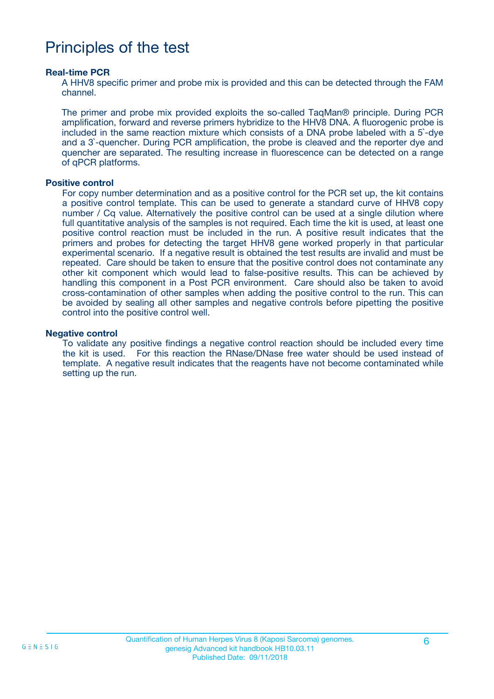### Principles of the test

#### **Real-time PCR**

A HHV8 specific primer and probe mix is provided and this can be detected through the FAM channel.

The primer and probe mix provided exploits the so-called TaqMan® principle. During PCR amplification, forward and reverse primers hybridize to the HHV8 DNA. A fluorogenic probe is included in the same reaction mixture which consists of a DNA probe labeled with a 5`-dye and a 3`-quencher. During PCR amplification, the probe is cleaved and the reporter dye and quencher are separated. The resulting increase in fluorescence can be detected on a range of qPCR platforms.

#### **Positive control**

For copy number determination and as a positive control for the PCR set up, the kit contains a positive control template. This can be used to generate a standard curve of HHV8 copy number / Cq value. Alternatively the positive control can be used at a single dilution where full quantitative analysis of the samples is not required. Each time the kit is used, at least one positive control reaction must be included in the run. A positive result indicates that the primers and probes for detecting the target HHV8 gene worked properly in that particular experimental scenario. If a negative result is obtained the test results are invalid and must be repeated. Care should be taken to ensure that the positive control does not contaminate any other kit component which would lead to false-positive results. This can be achieved by handling this component in a Post PCR environment. Care should also be taken to avoid cross-contamination of other samples when adding the positive control to the run. This can be avoided by sealing all other samples and negative controls before pipetting the positive control into the positive control well.

#### **Negative control**

To validate any positive findings a negative control reaction should be included every time the kit is used. For this reaction the RNase/DNase free water should be used instead of template. A negative result indicates that the reagents have not become contaminated while setting up the run.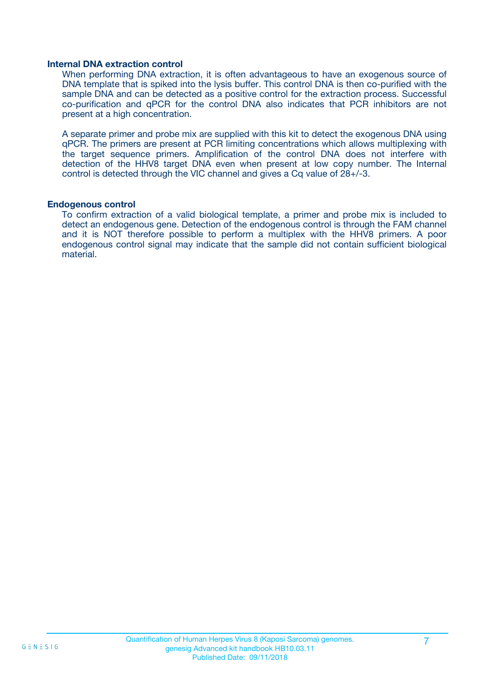#### **Internal DNA extraction control**

When performing DNA extraction, it is often advantageous to have an exogenous source of DNA template that is spiked into the lysis buffer. This control DNA is then co-purified with the sample DNA and can be detected as a positive control for the extraction process. Successful co-purification and qPCR for the control DNA also indicates that PCR inhibitors are not present at a high concentration.

A separate primer and probe mix are supplied with this kit to detect the exogenous DNA using qPCR. The primers are present at PCR limiting concentrations which allows multiplexing with the target sequence primers. Amplification of the control DNA does not interfere with detection of the HHV8 target DNA even when present at low copy number. The Internal control is detected through the VIC channel and gives a Cq value of 28+/-3.

#### **Endogenous control**

To confirm extraction of a valid biological template, a primer and probe mix is included to detect an endogenous gene. Detection of the endogenous control is through the FAM channel and it is NOT therefore possible to perform a multiplex with the HHV8 primers. A poor endogenous control signal may indicate that the sample did not contain sufficient biological material.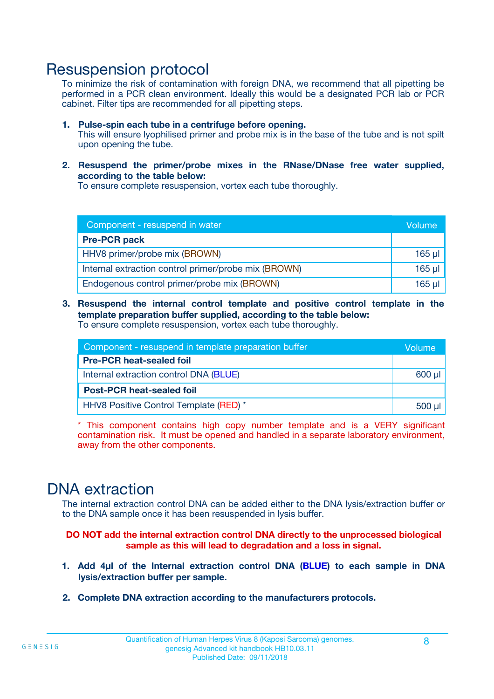### Resuspension protocol

To minimize the risk of contamination with foreign DNA, we recommend that all pipetting be performed in a PCR clean environment. Ideally this would be a designated PCR lab or PCR cabinet. Filter tips are recommended for all pipetting steps.

- **1. Pulse-spin each tube in a centrifuge before opening.** This will ensure lyophilised primer and probe mix is in the base of the tube and is not spilt upon opening the tube.
- **2. Resuspend the primer/probe mixes in the RNase/DNase free water supplied, according to the table below:**

To ensure complete resuspension, vortex each tube thoroughly.

| Component - resuspend in water                       |          |  |
|------------------------------------------------------|----------|--|
| <b>Pre-PCR pack</b>                                  |          |  |
| HHV8 primer/probe mix (BROWN)                        | $165$ µl |  |
| Internal extraction control primer/probe mix (BROWN) | $165$ µl |  |
| Endogenous control primer/probe mix (BROWN)          | 165 µl   |  |

**3. Resuspend the internal control template and positive control template in the template preparation buffer supplied, according to the table below:** To ensure complete resuspension, vortex each tube thoroughly.

| Component - resuspend in template preparation buffer |          |  |  |
|------------------------------------------------------|----------|--|--|
| <b>Pre-PCR heat-sealed foil</b>                      |          |  |  |
| Internal extraction control DNA (BLUE)               |          |  |  |
| <b>Post-PCR heat-sealed foil</b>                     |          |  |  |
| HHV8 Positive Control Template (RED) *               | $500$ µl |  |  |

\* This component contains high copy number template and is a VERY significant contamination risk. It must be opened and handled in a separate laboratory environment, away from the other components.

### DNA extraction

The internal extraction control DNA can be added either to the DNA lysis/extraction buffer or to the DNA sample once it has been resuspended in lysis buffer.

**DO NOT add the internal extraction control DNA directly to the unprocessed biological sample as this will lead to degradation and a loss in signal.**

- **1. Add 4µl of the Internal extraction control DNA (BLUE) to each sample in DNA lysis/extraction buffer per sample.**
- **2. Complete DNA extraction according to the manufacturers protocols.**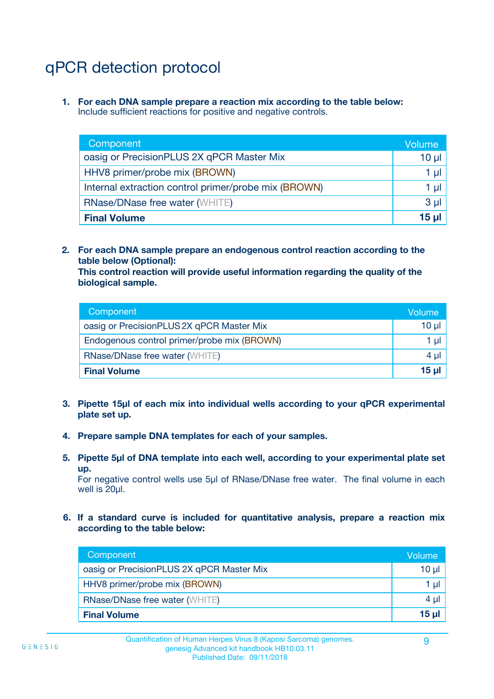# qPCR detection protocol

**1. For each DNA sample prepare a reaction mix according to the table below:** Include sufficient reactions for positive and negative controls.

| Component                                            | Volume   |
|------------------------------------------------------|----------|
| oasig or PrecisionPLUS 2X qPCR Master Mix            | $10 \mu$ |
| HHV8 primer/probe mix (BROWN)                        | 1 µI     |
| Internal extraction control primer/probe mix (BROWN) | 1 µl     |
| <b>RNase/DNase free water (WHITE)</b>                | $3 \mu$  |
| <b>Final Volume</b>                                  | 15 µl    |

**2. For each DNA sample prepare an endogenous control reaction according to the table below (Optional):**

**This control reaction will provide useful information regarding the quality of the biological sample.**

| Component                                   | Volume   |
|---------------------------------------------|----------|
| oasig or PrecisionPLUS 2X qPCR Master Mix   | $10 \mu$ |
| Endogenous control primer/probe mix (BROWN) | 1 µI     |
| <b>RNase/DNase free water (WHITE)</b>       | $4 \mu$  |
| <b>Final Volume</b>                         | 15 µl    |

- **3. Pipette 15µl of each mix into individual wells according to your qPCR experimental plate set up.**
- **4. Prepare sample DNA templates for each of your samples.**
- **5. Pipette 5µl of DNA template into each well, according to your experimental plate set up.**

For negative control wells use 5µl of RNase/DNase free water. The final volume in each well is 20ul.

**6. If a standard curve is included for quantitative analysis, prepare a reaction mix according to the table below:**

| Component                                 | Volume     |
|-------------------------------------------|------------|
| oasig or PrecisionPLUS 2X qPCR Master Mix | 10 µl      |
| HHV8 primer/probe mix (BROWN)             |            |
| <b>RNase/DNase free water (WHITE)</b>     | $4 \mu$    |
| <b>Final Volume</b>                       | $15$ $\mu$ |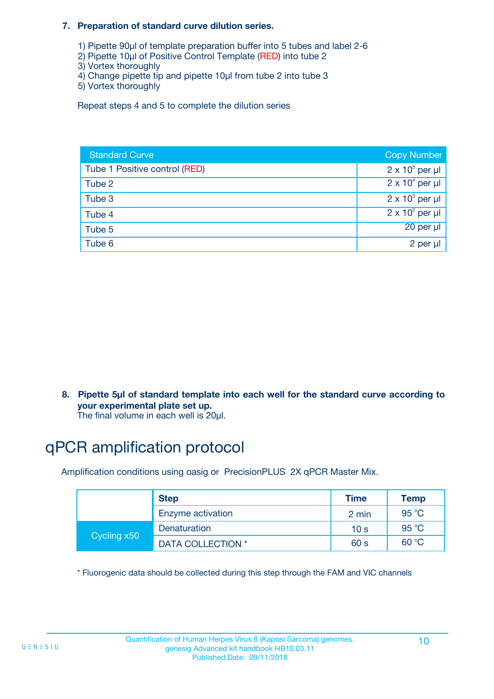#### **7. Preparation of standard curve dilution series.**

- 1) Pipette 90µl of template preparation buffer into 5 tubes and label 2-6
- 2) Pipette 10µl of Positive Control Template (RED) into tube 2
- 3) Vortex thoroughly
- 4) Change pipette tip and pipette 10µl from tube 2 into tube 3
- 5) Vortex thoroughly

Repeat steps 4 and 5 to complete the dilution series

| <b>Standard Curve</b>         | <b>Copy Number</b>     |
|-------------------------------|------------------------|
| Tube 1 Positive control (RED) | $2 \times 10^5$ per µl |
| Tube 2                        | $2 \times 10^4$ per µl |
| Tube 3                        | $2 \times 10^3$ per µl |
| Tube 4                        | $2 \times 10^2$ per µl |
| Tube 5                        | 20 per µl              |
| Tube 6                        | 2 per µl               |

**8. Pipette 5µl of standard template into each well for the standard curve according to your experimental plate set up.**

#### The final volume in each well is 20µl.

# qPCR amplification protocol

Amplification conditions using oasig or PrecisionPLUS 2X qPCR Master Mix.

|             | <b>Step</b>       | <b>Time</b>     | Temp    |
|-------------|-------------------|-----------------|---------|
|             | Enzyme activation | 2 min           | 95 °C   |
| Cycling x50 | Denaturation      | 10 <sub>s</sub> | 95 $°C$ |
|             | DATA COLLECTION * | 60 s            | 60 °C   |

\* Fluorogenic data should be collected during this step through the FAM and VIC channels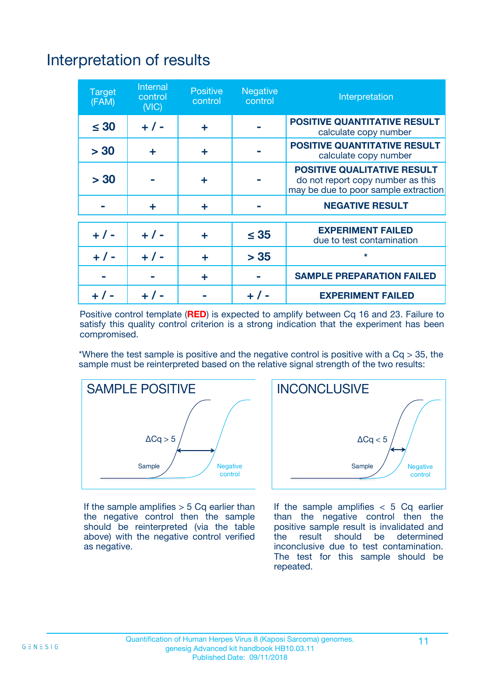# Interpretation of results

| <b>Target</b><br>(FAM) | <b>Internal</b><br>control<br>(NIC) | <b>Positive</b><br>control | <b>Negative</b><br>control | Interpretation                                                                                                  |
|------------------------|-------------------------------------|----------------------------|----------------------------|-----------------------------------------------------------------------------------------------------------------|
| $\leq 30$              | $+ 1 -$                             | ÷                          |                            | <b>POSITIVE QUANTITATIVE RESULT</b><br>calculate copy number                                                    |
| > 30                   | ٠                                   | ÷                          |                            | <b>POSITIVE QUANTITATIVE RESULT</b><br>calculate copy number                                                    |
| > 30                   |                                     | ÷                          |                            | <b>POSITIVE QUALITATIVE RESULT</b><br>do not report copy number as this<br>may be due to poor sample extraction |
|                        | ÷                                   | ÷                          |                            | <b>NEGATIVE RESULT</b>                                                                                          |
| $+ 1 -$                | $+ 1 -$                             | ÷                          | $\leq$ 35                  | <b>EXPERIMENT FAILED</b><br>due to test contamination                                                           |
| $+$ / -                | $+ 1 -$                             | ÷                          | > 35                       | $\star$                                                                                                         |
|                        |                                     | ÷                          |                            | <b>SAMPLE PREPARATION FAILED</b>                                                                                |
|                        |                                     |                            | $+$ /                      | <b>EXPERIMENT FAILED</b>                                                                                        |

Positive control template (**RED**) is expected to amplify between Cq 16 and 23. Failure to satisfy this quality control criterion is a strong indication that the experiment has been compromised.

\*Where the test sample is positive and the negative control is positive with a  $Ca > 35$ , the sample must be reinterpreted based on the relative signal strength of the two results:



If the sample amplifies  $> 5$  Cq earlier than the negative control then the sample should be reinterpreted (via the table above) with the negative control verified as negative.



If the sample amplifies  $< 5$  Cq earlier than the negative control then the positive sample result is invalidated and<br>the result should be determined  $the$  result should be inconclusive due to test contamination. The test for this sample should be repeated.